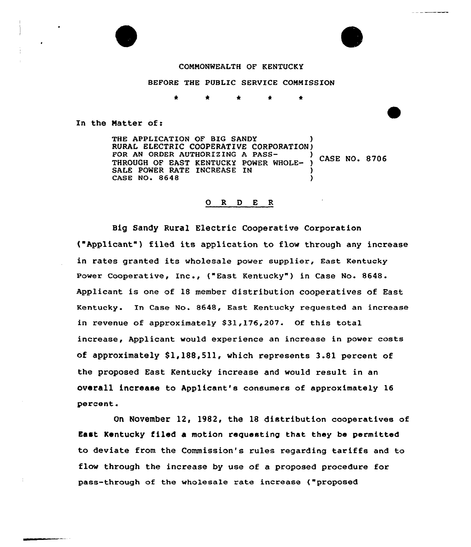

### COMMONWEALTH OF KENTUCKY

BEFORE THE PUBLIC SERVICE COMMISSION

In the Matter of:

THE APPLICATION OF BIG SANDY RURAL ELECTRIC COOPERATIVE CORPORATION)<br>FOR AN ORDER AUTHORIZING A PASS-FOR AN ORDER AUTHORIZING A PASS-<br>THROUGH OF EAST KENTUCKY POWER WHOLE- ) CASE NO. 8706 SALE POWER RATE INCREASE IN CASE NO. 8648 )

#### 0 R <sup>D</sup> E <sup>R</sup>

Big Sandy Rural Electric Cooperative Corporation ("Applicant") filed its application to flow through any increase in rates granted its wholesale power supplier, East Kentucky Power Cooperative, Inc., ("East Kentucky") in Case No. 8648. Applicant is one of 18 member distribution cooperatives of East Kentucky. In Case No. 8648, East Kentucky requested an increase in revenue of approximately \$31,176,207. Of this total increase, Applicant would experience an increase in power costs of approximately \$1,188,511, which represents 3.81 percent of the proposed East Kentucky increase and would result in an overall increase to Applicant's consumers of approximately 16 percent.

On November 12, 1982, the 18 distribution cooperatives of East Kentucky filed a motion requesting that they be permitted to deviate from the Commission's rules regarding tariffs and to flow through the increase by use of a proposed procedure for pass-through af the who1esa1e rate increase ("proposed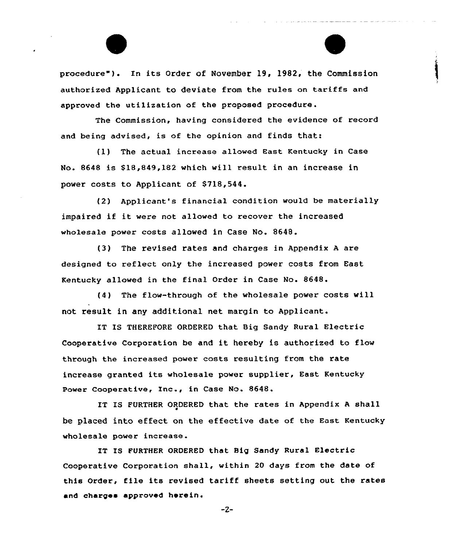procedure") In its Order of November 19, 1982, the Commission authorized Applicant to deviate from the rules on tariffs and approved the utilization of the proposed procedure.

The Commission, having considered the evidence of record and being advised, is of the opinion and finds that:

(l) The actual increase allowed Bast Kentucky in Case No. 8648 is \$18,849,182 which will result in an increase in power costs to Applicant of \$718,544.

(2) Applicant's financial condition would be materially impaired if it were not allowed to recover the increased wholesale power costs allowed in Case No. 8648.

(3) The revised rates and charges in Appendix <sup>A</sup> are designed to reflect only the increased power costs from East Kentucky allowed in the final Order in Case No. 8648.

(4) The flow-through of the wholesale power costs will not result in any additional net margin to Applicant.

IT IS THEREFORE ORDERED that Big Sandy Rural Electric Cooperative Corporation be and it hereby is authorized to flow through the increased power costs resulting from the rate increase granted its wholesale power supplier, East Kentucky Power Cooperative, Inc., in Case No. 8648.

IT IS FURTHER ORDERED that the rates in Appendix <sup>A</sup> shall be placed into effect on the effective date of the Bast Kentucky wholesale power increase.

IT IS FURTHER ORDERED that Big Sandy Rural Electric Cooperative Corporation shall, within 20 days from the date of this Order, file its revised tariff sheets setting out the rates and chargea approved herein.

 $-2-$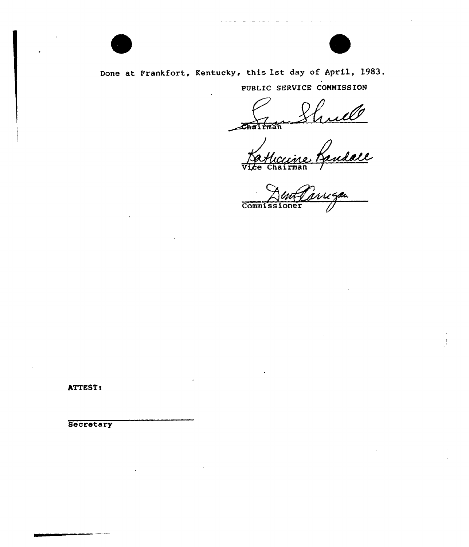

Done at Frankfort, Kentucky, this 1st day of April, l983. PUBLIC SERVICE COMMISSION

melle *s***Thairman** 

Vice Chairman /

wigan Commissi

ATTEST:

Secretary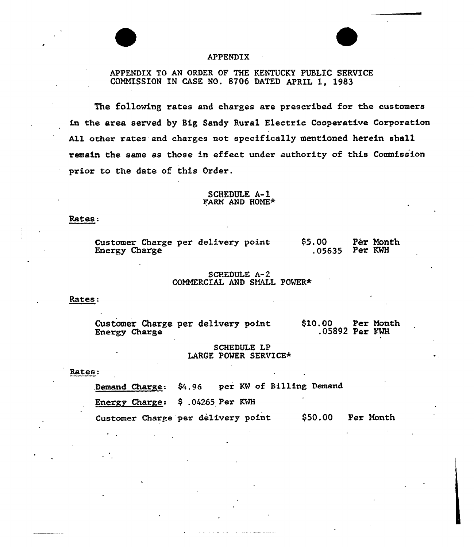

## APPENDIX

# APPENDIX TO AN ORDER OF THE KENTUCKY PUBLIC SERVICE COMMISSION IN CASE NO. 8706 DATED APRIL 1, 1983

The following rates and charges are prescribed for the customers in the area served by Big Sandy Rural Electric Cooperative Corporation All other rates and charges not specifically mentioned herein shall remain the same as those in effect under authority of this Commission prior to the date of this Order.

### SCHEDULE A-1 FARM AND HOME\*

#### Rates:

|               |  | Customer Charge per delivery point |  | \$5.00           | Pér Month |
|---------------|--|------------------------------------|--|------------------|-----------|
| Energy Charge |  |                                    |  | $.05635$ Per KWH |           |

### SCHEDULE A-2 COMMERCIAL AND SMALL POVER+

#### Rates:

Customer Chaxge per delivery point Energy Charge \$10.00 Per Month .05892 Per FMH

### SCHEDULE LP LARGE POVER SERVICE\*

#### Rates:

Demand Charge:  $\frac{6}{4}$ .96 per KW of Billing Demand

Energy Charge:  $$.04265$  Per KWH

Customer Charge per delivery point \$50.00 Per Month